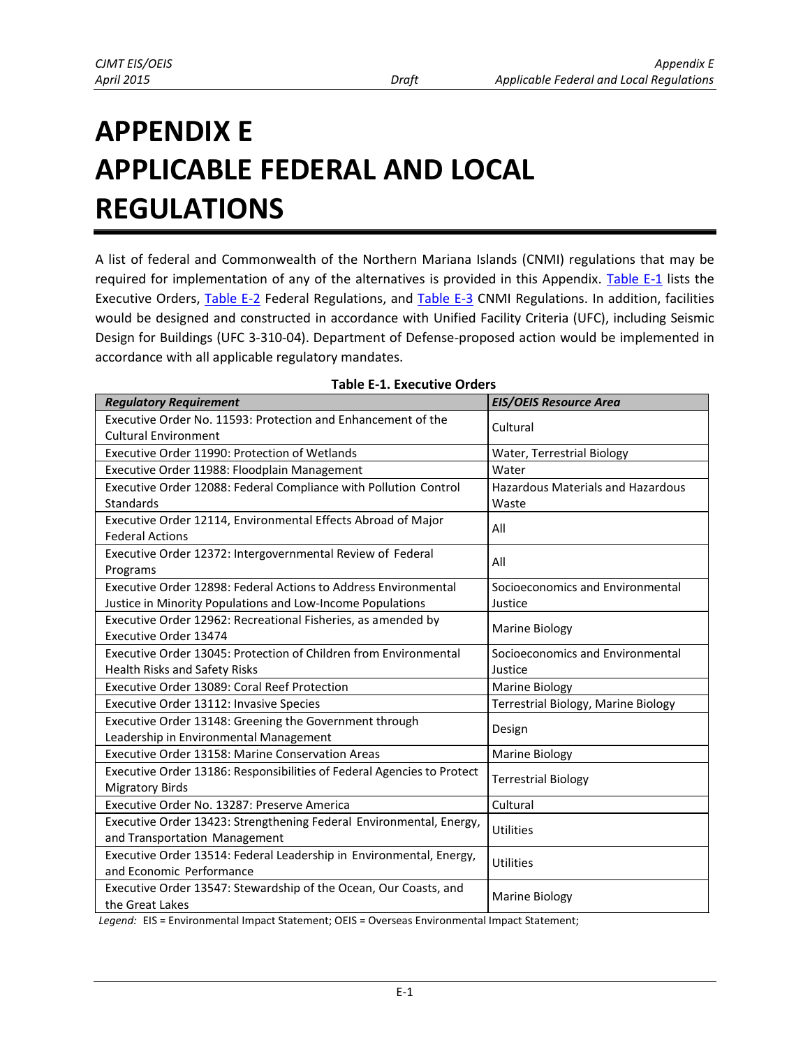## **APPENDIX E APPLICABLE FEDERAL AND LOCAL REGULATIONS**

A list of federal and Commonwealth of the Northern Mariana Islands (CNMI) regulations that may be required for implementation of any of the alternatives is provided in this Appendix. [Table E-1](#page-0-0) lists the Executive Orders, [Table E-2](#page-1-0) Federal Regulations, and [Table E-3](#page-3-0) CNMI Regulations. In addition, facilities would be designed and constructed in accordance with Unified Facility Criteria (UFC), including Seismic Design for Buildings (UFC 3-310-04). Department of Defense-proposed action would be implemented in accordance with all applicable regulatory mandates.

<span id="page-0-0"></span>

| <b>Regulatory Requirement</b>                                          | <b>EIS/OEIS Resource Area</b>            |  |  |
|------------------------------------------------------------------------|------------------------------------------|--|--|
| Executive Order No. 11593: Protection and Enhancement of the           | Cultural                                 |  |  |
| <b>Cultural Environment</b>                                            |                                          |  |  |
| Executive Order 11990: Protection of Wetlands                          | Water, Terrestrial Biology               |  |  |
| Executive Order 11988: Floodplain Management                           | Water                                    |  |  |
| Executive Order 12088: Federal Compliance with Pollution Control       | <b>Hazardous Materials and Hazardous</b> |  |  |
| <b>Standards</b>                                                       | Waste                                    |  |  |
| Executive Order 12114, Environmental Effects Abroad of Major           |                                          |  |  |
| <b>Federal Actions</b>                                                 | All                                      |  |  |
| Executive Order 12372: Intergovernmental Review of Federal             | All                                      |  |  |
| Programs                                                               |                                          |  |  |
| Executive Order 12898: Federal Actions to Address Environmental        | Socioeconomics and Environmental         |  |  |
| Justice in Minority Populations and Low-Income Populations             | Justice                                  |  |  |
| Executive Order 12962: Recreational Fisheries, as amended by           | <b>Marine Biology</b>                    |  |  |
| Executive Order 13474                                                  |                                          |  |  |
| Executive Order 13045: Protection of Children from Environmental       | Socioeconomics and Environmental         |  |  |
| Health Risks and Safety Risks                                          | Justice                                  |  |  |
| Executive Order 13089: Coral Reef Protection                           | <b>Marine Biology</b>                    |  |  |
| Executive Order 13112: Invasive Species                                | Terrestrial Biology, Marine Biology      |  |  |
| Executive Order 13148: Greening the Government through                 | Design                                   |  |  |
| Leadership in Environmental Management                                 |                                          |  |  |
| Executive Order 13158: Marine Conservation Areas                       | <b>Marine Biology</b>                    |  |  |
| Executive Order 13186: Responsibilities of Federal Agencies to Protect | <b>Terrestrial Biology</b>               |  |  |
| <b>Migratory Birds</b>                                                 |                                          |  |  |
| Executive Order No. 13287: Preserve America                            | Cultural                                 |  |  |
| Executive Order 13423: Strengthening Federal Environmental, Energy,    | <b>Utilities</b>                         |  |  |
| and Transportation Management                                          |                                          |  |  |
| Executive Order 13514: Federal Leadership in Environmental, Energy,    | Utilities                                |  |  |
| and Economic Performance                                               |                                          |  |  |
| Executive Order 13547: Stewardship of the Ocean, Our Coasts, and       | <b>Marine Biology</b>                    |  |  |
| the Great Lakes                                                        |                                          |  |  |

## **Table E-1. Executive Orders**

*Legend:* EIS = Environmental Impact Statement; OEIS = Overseas Environmental Impact Statement;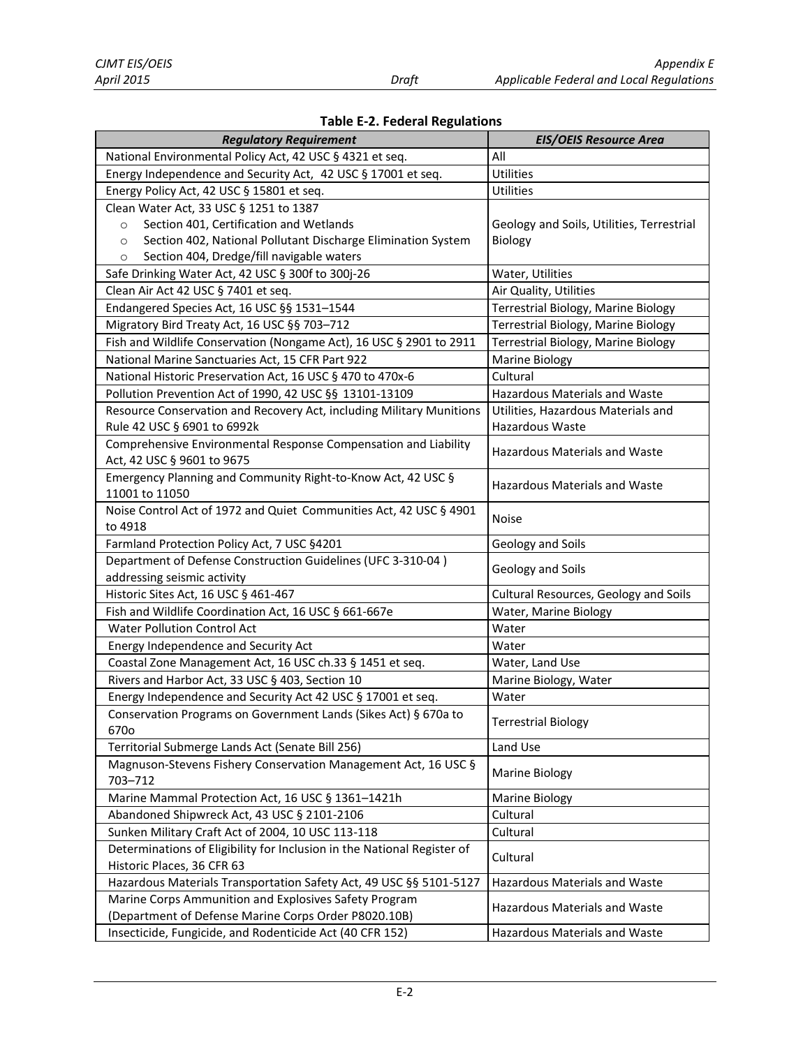<span id="page-1-0"></span>

|  |  |  | <b>Table E-2. Federal Regulations</b> |
|--|--|--|---------------------------------------|
|--|--|--|---------------------------------------|

| <b>Regulatory Requirement</b>                                                          | <b>EIS/OEIS Resource Area</b>             |  |
|----------------------------------------------------------------------------------------|-------------------------------------------|--|
| National Environmental Policy Act, 42 USC § 4321 et seq.                               | All                                       |  |
| Energy Independence and Security Act, 42 USC § 17001 et seq.                           | Utilities                                 |  |
| Energy Policy Act, 42 USC § 15801 et seq.                                              | Utilities                                 |  |
| Clean Water Act, 33 USC § 1251 to 1387                                                 |                                           |  |
| Section 401, Certification and Wetlands<br>$\circ$                                     | Geology and Soils, Utilities, Terrestrial |  |
| Section 402, National Pollutant Discharge Elimination System<br>$\circ$                | Biology                                   |  |
| Section 404, Dredge/fill navigable waters<br>$\circ$                                   |                                           |  |
| Safe Drinking Water Act, 42 USC § 300f to 300j-26                                      | Water, Utilities                          |  |
| Clean Air Act 42 USC § 7401 et seq.                                                    | Air Quality, Utilities                    |  |
| Endangered Species Act, 16 USC §§ 1531-1544                                            | Terrestrial Biology, Marine Biology       |  |
| Migratory Bird Treaty Act, 16 USC §§ 703-712                                           | Terrestrial Biology, Marine Biology       |  |
| Fish and Wildlife Conservation (Nongame Act), 16 USC § 2901 to 2911                    | Terrestrial Biology, Marine Biology       |  |
| National Marine Sanctuaries Act, 15 CFR Part 922                                       | Marine Biology                            |  |
| National Historic Preservation Act, 16 USC § 470 to 470x-6                             | Cultural                                  |  |
| Pollution Prevention Act of 1990, 42 USC §§ 13101-13109                                | Hazardous Materials and Waste             |  |
| Resource Conservation and Recovery Act, including Military Munitions                   | Utilities, Hazardous Materials and        |  |
| Rule 42 USC § 6901 to 6992k                                                            | Hazardous Waste                           |  |
| Comprehensive Environmental Response Compensation and Liability                        | <b>Hazardous Materials and Waste</b>      |  |
| Act, 42 USC § 9601 to 9675                                                             |                                           |  |
| Emergency Planning and Community Right-to-Know Act, 42 USC §<br>11001 to 11050         | Hazardous Materials and Waste             |  |
| Noise Control Act of 1972 and Quiet Communities Act, 42 USC § 4901                     | <b>Noise</b>                              |  |
| to 4918                                                                                |                                           |  |
| Farmland Protection Policy Act, 7 USC §4201                                            | Geology and Soils                         |  |
| Department of Defense Construction Guidelines (UFC 3-310-04)                           | Geology and Soils                         |  |
| addressing seismic activity                                                            |                                           |  |
| Historic Sites Act, 16 USC § 461-467                                                   | Cultural Resources, Geology and Soils     |  |
| Fish and Wildlife Coordination Act, 16 USC § 661-667e                                  | Water, Marine Biology                     |  |
| <b>Water Pollution Control Act</b>                                                     | Water                                     |  |
| Energy Independence and Security Act                                                   | Water                                     |  |
| Coastal Zone Management Act, 16 USC ch.33 § 1451 et seq.                               | Water, Land Use                           |  |
| Rivers and Harbor Act, 33 USC § 403, Section 10                                        | Marine Biology, Water                     |  |
| Energy Independence and Security Act 42 USC § 17001 et seq.                            | Water                                     |  |
| Conservation Programs on Government Lands (Sikes Act) § 670a to<br>670o                | <b>Terrestrial Biology</b>                |  |
| Territorial Submerge Lands Act (Senate Bill 256)                                       | Land Use                                  |  |
| Magnuson-Stevens Fishery Conservation Management Act, 16 USC §                         | Marine Biology                            |  |
| 703-712                                                                                |                                           |  |
| Marine Mammal Protection Act, 16 USC § 1361-1421h                                      | Marine Biology                            |  |
| Abandoned Shipwreck Act, 43 USC § 2101-2106                                            | Cultural                                  |  |
| Sunken Military Craft Act of 2004, 10 USC 113-118                                      | Cultural                                  |  |
| Determinations of Eligibility for Inclusion in the National Register of                | Cultural                                  |  |
| Historic Places, 36 CFR 63                                                             |                                           |  |
| Hazardous Materials Transportation Safety Act, 49 USC §§ 5101-5127                     | Hazardous Materials and Waste             |  |
| Marine Corps Ammunition and Explosives Safety Program<br>Hazardous Materials and Waste |                                           |  |
| (Department of Defense Marine Corps Order P8020.10B)                                   |                                           |  |
| Insecticide, Fungicide, and Rodenticide Act (40 CFR 152)                               | Hazardous Materials and Waste             |  |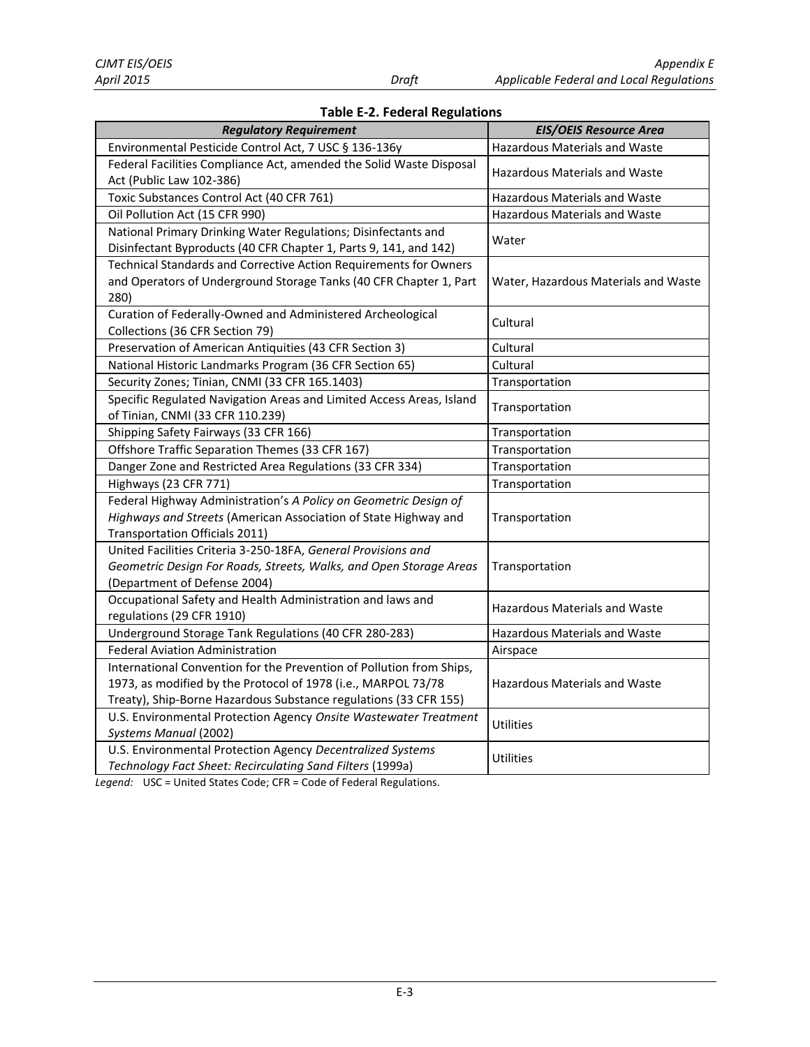| . .<br>г | u |  |  |
|----------|---|--|--|
|          |   |  |  |

| <b>Regulatory Requirement</b>                                                                                                                                                                             | <b>EIS/OEIS Resource Area</b>        |
|-----------------------------------------------------------------------------------------------------------------------------------------------------------------------------------------------------------|--------------------------------------|
| Environmental Pesticide Control Act, 7 USC § 136-136y                                                                                                                                                     | Hazardous Materials and Waste        |
| Federal Facilities Compliance Act, amended the Solid Waste Disposal<br>Act (Public Law 102-386)                                                                                                           | <b>Hazardous Materials and Waste</b> |
| Toxic Substances Control Act (40 CFR 761)                                                                                                                                                                 | Hazardous Materials and Waste        |
| Oil Pollution Act (15 CFR 990)                                                                                                                                                                            | Hazardous Materials and Waste        |
| National Primary Drinking Water Regulations; Disinfectants and<br>Disinfectant Byproducts (40 CFR Chapter 1, Parts 9, 141, and 142)                                                                       | Water                                |
| Technical Standards and Corrective Action Requirements for Owners<br>and Operators of Underground Storage Tanks (40 CFR Chapter 1, Part<br>280)                                                           | Water, Hazardous Materials and Waste |
| Curation of Federally-Owned and Administered Archeological<br>Collections (36 CFR Section 79)                                                                                                             | Cultural                             |
| Preservation of American Antiquities (43 CFR Section 3)                                                                                                                                                   | Cultural                             |
| National Historic Landmarks Program (36 CFR Section 65)                                                                                                                                                   | Cultural                             |
| Security Zones; Tinian, CNMI (33 CFR 165.1403)                                                                                                                                                            | Transportation                       |
| Specific Regulated Navigation Areas and Limited Access Areas, Island<br>of Tinian, CNMI (33 CFR 110.239)                                                                                                  | Transportation                       |
| Shipping Safety Fairways (33 CFR 166)                                                                                                                                                                     | Transportation                       |
| Offshore Traffic Separation Themes (33 CFR 167)                                                                                                                                                           | Transportation                       |
| Danger Zone and Restricted Area Regulations (33 CFR 334)                                                                                                                                                  | Transportation                       |
| Highways (23 CFR 771)                                                                                                                                                                                     | Transportation                       |
| Federal Highway Administration's A Policy on Geometric Design of<br>Highways and Streets (American Association of State Highway and<br>Transportation Officials 2011)                                     | Transportation                       |
| United Facilities Criteria 3-250-18FA, General Provisions and<br>Geometric Design For Roads, Streets, Walks, and Open Storage Areas<br>(Department of Defense 2004)                                       | Transportation                       |
| Occupational Safety and Health Administration and laws and<br>regulations (29 CFR 1910)                                                                                                                   | <b>Hazardous Materials and Waste</b> |
| Underground Storage Tank Regulations (40 CFR 280-283)                                                                                                                                                     | <b>Hazardous Materials and Waste</b> |
| <b>Federal Aviation Administration</b>                                                                                                                                                                    | Airspace                             |
| International Convention for the Prevention of Pollution from Ships,<br>1973, as modified by the Protocol of 1978 (i.e., MARPOL 73/78<br>Treaty), Ship-Borne Hazardous Substance regulations (33 CFR 155) | <b>Hazardous Materials and Waste</b> |
| U.S. Environmental Protection Agency Onsite Wastewater Treatment<br>Systems Manual (2002)                                                                                                                 | Utilities                            |
| U.S. Environmental Protection Agency Decentralized Systems<br>Technology Fact Sheet: Recirculating Sand Filters (1999a)                                                                                   | Utilities                            |

*Legend:* USC = United States Code; CFR = Code of Federal Regulations.